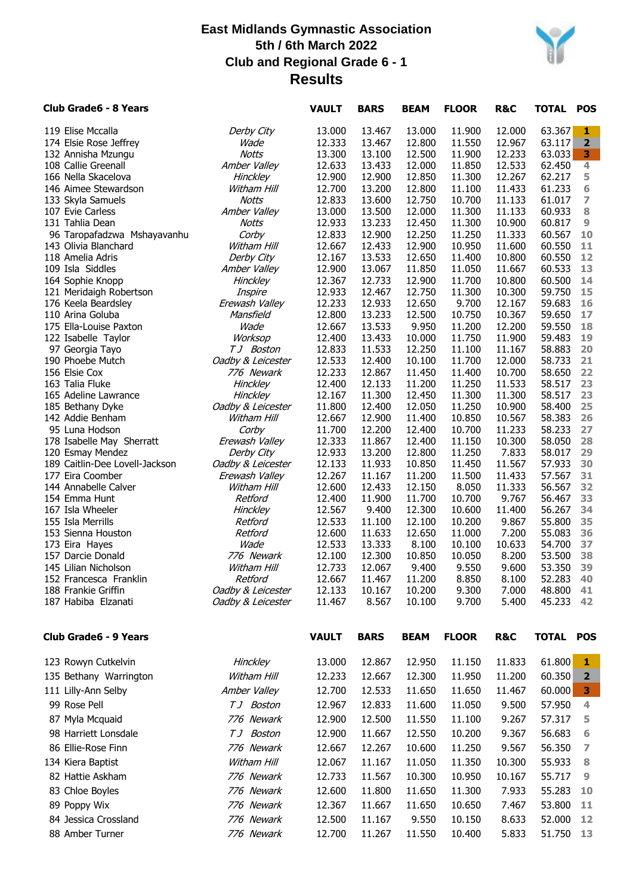

| Club Grade6 - 8 Years                         |                               | <b>VAULT</b>     | <b>BARS</b>      | <b>BEAM</b>      | <b>FLOOR</b>     | R&C              | TOTAL POS        |                         |
|-----------------------------------------------|-------------------------------|------------------|------------------|------------------|------------------|------------------|------------------|-------------------------|
| 119 Elise Mccalla                             | Derby City                    | 13.000           | 13.467           | 13.000           | 11.900           | 12.000           | 63.367           | 1                       |
| 174 Elsie Rose Jeffrey                        | Wade                          | 12.333           | 13.467           | 12.800           | 11.550           | 12.967           | 63.117           | $\overline{\mathbf{2}}$ |
| 132 Annisha Mzungu                            | <b>Notts</b>                  | 13.300           | 13.100           | 12.500           | 11.900           | 12.233           | 63.033           | 3                       |
| 108 Callie Greenall                           | Amber Valley                  | 12.633           | 13.433           | 12.000           | 11.850           | 12.533           | 62.450           | 4                       |
| 166 Nella Skacelova                           | Hinckley                      | 12.900           | 12.900           | 12.850           | 11.300           | 12.267           | 62.217           | 5                       |
| 146 Aimee Stewardson                          | Witham Hill                   | 12.700           | 13.200           | 12.800           | 11.100           | 11.433<br>11.133 | 61.233           | 6<br>$\overline{ }$     |
| 133 Skyla Samuels<br>107 Evie Carless         | <b>Notts</b><br>Amber Valley  | 12.833<br>13.000 | 13.600<br>13.500 | 12.750<br>12.000 | 10.700<br>11.300 | 11.133           | 61.017<br>60.933 | 8                       |
| 131 Tahlia Dean                               | Notts                         | 12.933           | 13.233           | 12.450           | 11.300           | 10.900           | 60.817           | 9                       |
| 96 Taropafadzwa Mshayavanhu                   | Corby                         | 12.833           | 12.900           | 12.250           | 11.250           | 11.333           | 60.567           | 10                      |
| 143 Olivia Blanchard                          | Witham Hill                   | 12.667           | 12.433           | 12.900           | 10.950           | 11.600           | 60.550           | 11                      |
| 118 Amelia Adris                              | Derby City                    | 12.167           | 13.533           | 12.650           | 11.400           | 10.800           | 60.550           | 12                      |
| 109 Isla Siddles                              | Amber Valley                  | 12.900           | 13.067           | 11.850           | 11.050           | 11.667           | 60.533           | 13                      |
| 164 Sophie Knopp                              | Hinckley                      | 12.367           | 12.733           | 12.900           | 11.700           | 10.800           | 60.500           | 14                      |
| 121 Meridaigh Robertson                       | Inspire                       | 12.933           | 12.467           | 12.750           | 11.300           | 10.300           | 59.750           | 15                      |
| 176 Keela Beardsley                           | Erewash Valley                | 12.233           | 12.933           | 12.650           | 9.700            | 12.167           | 59.683           | 16                      |
| 110 Arina Goluba                              | Mansfield                     | 12.800           | 13.233           | 12.500           | 10.750           | 10.367           | 59.650           | 17                      |
| 175 Ella-Louise Paxton<br>122 Isabelle Taylor | Wade<br>Worksop               | 12.667<br>12.400 | 13.533<br>13.433 | 9.950<br>10.000  | 11.200<br>11.750 | 12.200<br>11.900 | 59.550<br>59.483 | 18<br>19                |
| 97 Georgia Tayo                               | TJ Boston                     | 12.833           | 11.533           | 12.250           | 11.100           | 11.167           | 58.883           | 20                      |
| 190 Phoebe Mutch                              | Oadby & Leicester             | 12.533           | 12.400           | 10.100           | 11.700           | 12.000           | 58.733           | 21                      |
| 156 Elsie Cox                                 | 776 Newark                    | 12.233           | 12.867           | 11.450           | 11.400           | 10.700           | 58.650           | 22                      |
| 163 Talia Fluke                               | Hinckley                      | 12.400           | 12.133           | 11.200           | 11.250           | 11.533           | 58.517           | 23                      |
| 165 Adeline Lawrance                          | Hinckley                      | 12.167           | 11.300           | 12.450           | 11.300           | 11.300           | 58.517           | 23                      |
| 185 Bethany Dyke                              | Oadby & Leicester             | 11.800           | 12.400           | 12.050           | 11.250           | 10.900           | 58.400           | 25                      |
| 142 Addie Benham                              | Witham Hill                   | 12.667           | 12.900           | 11.400           | 10.850           | 10.567           | 58.383           | 26                      |
| 95 Luna Hodson                                | Corby                         | 11.700           | 12.200           | 12.400           | 10.700           | 11.233           | 58.233           | 27                      |
| 178 Isabelle May Sherratt                     | Erewash Valley                | 12.333           | 11.867           | 12.400           | 11.150           | 10.300           | 58.050           | 28                      |
| 120 Esmay Mendez                              | Derby City                    | 12.933           | 13.200           | 12.800           | 11.250           | 7.833            | 58.017           | 29                      |
| 189 Caitlin-Dee Lovell-Jackson                | Oadby & Leicester             | 12.133           | 11.933           | 10.850           | 11.450           | 11.567           | 57.933           | 30<br>31                |
| 177 Eira Coomber<br>144 Annabelle Calver      | Erewash Valley<br>Witham Hill | 12.267<br>12.600 | 11.167<br>12.433 | 11.200<br>12.150 | 11.500<br>8.050  | 11.433<br>11.333 | 57.567<br>56.567 | 32                      |
| 154 Emma Hunt                                 | Retford                       | 12.400           | 11.900           | 11.700           | 10.700           | 9.767            | 56.467           | 33                      |
| 167 Isla Wheeler                              | Hinckley                      | 12.567           | 9.400            | 12.300           | 10.600           | 11.400           | 56.267           | 34                      |
| 155 Isla Merrills                             | Retford                       | 12.533           | 11.100           | 12.100           | 10.200           | 9.867            | 55.800           | 35                      |
| 153 Sienna Houston                            | Retford                       | 12.600           | 11.633           | 12.650           | 11.000           | 7.200            | 55.083           | 36                      |
| 173 Eira Hayes                                | Wade                          | 12.533           | 13.333           | 8.100            | 10.100           | 10.633           | 54.700           | 37                      |
| 157 Darcie Donald                             | 776 Newark                    | 12.100           | 12.300           | 10.850           | 10.050           | 8.200            | 53.500           | 38                      |
| 145 Lilian Nicholson                          | Witham Hill                   | 12.733           | 12.067           | 9.400            | 9.550            | 9.600            | 53.350           | 39                      |
| 152 Francesca Franklin                        | Retford                       | 12.667           | 11.467           | 11.200           | 8.850            | 8.100            | 52.283           | 40                      |
| 188 Frankie Griffin                           | Oadby & Leicester             | 12.133           | 10.167           | 10.200           | 9.300            | 7.000            | 48.800           | 41                      |
| 187 Habiba Elzanati                           | Oadby & Leicester             | 11.467           | 8.567            | 10.100           | 9.700            | 5.400            | 45.233           | 42                      |
| <b>Club Grade6 - 9 Years</b>                  |                               | <b>VAULT</b>     | <b>BARS</b>      | <b>BEAM</b>      | <b>FLOOR</b>     | <b>R&amp;C</b>   | <b>TOTAL POS</b> |                         |
| 123 Rowyn Cutkelvin                           | Hinckley                      | 13.000           | 12.867           | 12.950           | 11.150           | 11.833           | 61.800           | 1                       |
| 135 Bethany Warrington                        | Witham Hill                   | 12.233           | 12.667           | 12.300           | 11.950           | 11.200           | 60.350           | $\overline{\mathbf{2}}$ |
| 111 Lilly-Ann Selby                           | Amber Valley                  | 12.700           | 12.533           | 11.650           | 11.650           | 11.467           | 60.000           | 3                       |
| 99 Rose Pell                                  | TJ Boston                     | 12.967           | 12.833           | 11.600           | 11.050           | 9.500            | 57.950           | 4                       |
| 87 Myla Mcquaid                               | 776 Newark                    | 12.900           | 12.500           | 11.550           | 11.100           | 9.267            | 57.317           | 5                       |
|                                               |                               |                  |                  |                  |                  |                  |                  |                         |
| 98 Harriett Lonsdale                          | TJ Boston                     | 12.900           | 11.667           | 12.550           | 10.200           | 9.367            | 56.683           | 6                       |
| 86 Ellie-Rose Finn                            | 776 Newark                    | 12.667           | 12.267           | 10.600           | 11.250           | 9.567            | 56.350           | 7                       |
| 134 Kiera Baptist                             | Witham Hill                   | 12.067           | 11.167           | 11.050           | 11.350           | 10.300           | 55.933           | 8                       |
| 82 Hattie Askham                              | 776 Newark                    | 12.733           | 11.567           | 10.300           | 10.950           | 10.167           | 55.717           | 9                       |
| 83 Chloe Boyles                               | 776 Newark                    | 12.600           | 11.800           | 11.650           | 11.300           | 7.933            | 55.283           | 10                      |
| 89 Poppy Wix                                  | 776 Newark                    | 12.367           | 11.667           | 11.650           | 10.650           | 7.467            | 53.800           | 11                      |
| 84 Jessica Crossland                          | 776 Newark                    | 12.500           | 11.167           | 9.550            | 10.150           | 8.633            | 52.000           | 12                      |
| 88 Amber Turner                               | 776 Newark                    | 12.700           | 11.267           | 11.550           | 10.400           | 5.833            | 51.750           | <b>13</b>               |
|                                               |                               |                  |                  |                  |                  |                  |                  |                         |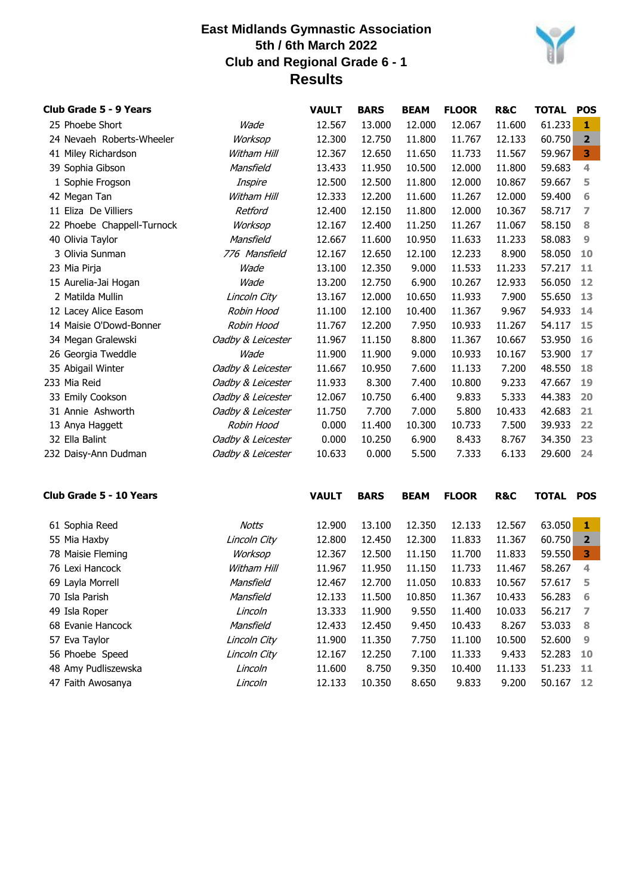

| Club Grade 5 - 9 Years     |                   | <b>VAULT</b> | <b>BARS</b> | <b>BEAM</b> | <b>FLOOR</b> | R&C    | <b>TOTAL</b> | <b>POS</b>     |
|----------------------------|-------------------|--------------|-------------|-------------|--------------|--------|--------------|----------------|
| 25 Phoebe Short            | Wade              | 12.567       | 13.000      | 12.000      | 12.067       | 11.600 | 61.233       | 1              |
| 24 Nevaeh Roberts-Wheeler  | Worksop           | 12.300       | 12.750      | 11.800      | 11.767       | 12.133 | 60.750       | $\overline{2}$ |
| 41 Miley Richardson        | Witham Hill       | 12.367       | 12.650      | 11.650      | 11.733       | 11.567 | 59.967       | 3              |
| 39 Sophia Gibson           | Mansfield         | 13.433       | 11.950      | 10.500      | 12.000       | 11.800 | 59.683       | 4              |
| 1 Sophie Frogson           | Inspire           | 12.500       | 12.500      | 11.800      | 12.000       | 10.867 | 59.667       | 5              |
| 42 Megan Tan               | Witham Hill       | 12.333       | 12.200      | 11.600      | 11.267       | 12.000 | 59.400       | 6              |
| 11 Eliza De Villiers       | Retford           | 12,400       | 12.150      | 11.800      | 12.000       | 10.367 | 58.717       | 7              |
| 22 Phoebe Chappell-Turnock | Worksop           | 12.167       | 12.400      | 11.250      | 11.267       | 11.067 | 58.150       | 8              |
| 40 Olivia Taylor           | Mansfield         | 12.667       | 11.600      | 10.950      | 11.633       | 11.233 | 58.083       | 9              |
| 3 Olivia Sunman            | 776 Mansfield     | 12.167       | 12.650      | 12.100      | 12.233       | 8.900  | 58.050       | 10             |
| 23 Mia Pirja               | Wade              | 13.100       | 12.350      | 9.000       | 11.533       | 11.233 | 57.217       | 11             |
| 15 Aurelia-Jai Hogan       | Wade              | 13.200       | 12.750      | 6.900       | 10.267       | 12.933 | 56.050       | 12             |
| 2 Matilda Mullin           | Lincoln City      | 13.167       | 12.000      | 10.650      | 11.933       | 7.900  | 55.650       | 13             |
| 12 Lacey Alice Easom       | Robin Hood        | 11.100       | 12.100      | 10.400      | 11.367       | 9.967  | 54.933       | 14             |
| 14 Maisie O'Dowd-Bonner    | Robin Hood        | 11.767       | 12.200      | 7.950       | 10.933       | 11.267 | 54.117       | 15             |
| 34 Megan Gralewski         | Oadby & Leicester | 11.967       | 11.150      | 8.800       | 11.367       | 10.667 | 53.950       | 16             |
| 26 Georgia Tweddle         | Wade              | 11.900       | 11.900      | 9.000       | 10.933       | 10.167 | 53.900       | 17             |
| 35 Abigail Winter          | Oadby & Leicester | 11.667       | 10.950      | 7.600       | 11.133       | 7.200  | 48.550       | 18             |
| 233 Mia Reid               | Oadby & Leicester | 11.933       | 8.300       | 7.400       | 10.800       | 9.233  | 47.667       | 19             |
| 33 Emily Cookson           | Oadby & Leicester | 12.067       | 10.750      | 6.400       | 9.833        | 5.333  | 44.383       | 20             |
| 31 Annie Ashworth          | Oadby & Leicester | 11.750       | 7.700       | 7.000       | 5.800        | 10.433 | 42.683       | 21             |
| 13 Anya Haggett            | Robin Hood        | 0.000        | 11.400      | 10.300      | 10.733       | 7.500  | 39.933       | 22             |
| 32 Ella Balint             | Oadby & Leicester | 0.000        | 10.250      | 6.900       | 8.433        | 8.767  | 34.350       | 23             |
| 232 Daisy-Ann Dudman       | Oadby & Leicester | 10.633       | 0.000       | 5.500       | 7.333        | 6.133  | 29.600       | 24             |

| 61 Sophia Reed<br>12,350<br>12.133<br>12.567<br>63.050<br>12.900<br>13.100<br>Notts        | 1            |
|--------------------------------------------------------------------------------------------|--------------|
| 60.750<br>55 Mia Haxby<br>Lincoln City<br>12,800<br>12.450<br>12,300<br>11.833<br>11.367   | $\mathbf{2}$ |
| Worksop<br>78 Maisie Fleming<br>11.150<br>11.833<br>59.550<br>12.367<br>12.500<br>11.700   | 3            |
| 11.950<br>58.267<br>Witham Hill<br>11.150<br>11.733<br>76 Lexi Hancock<br>11.967<br>11.467 | 4            |
| 69 Layla Morrell<br>Mansfield<br>12.700<br>11.050<br>10.833<br>57.617<br>12.467<br>10.567  | 5            |
| 70 Isla Parish<br>11.500<br>10.850<br>10.433<br>Mansfield<br>12.133<br>11.367<br>56.283    | 6            |
| 11.900<br>9.550<br>11.400<br>10.033<br>56.217<br>13.333<br>49 Isla Roper<br>Lincoln        | - 7          |
| 12.433<br>53.033<br>68 Evanie Hancock<br>Mansfield<br>12.450<br>9.450<br>10.433<br>8.267   | -8           |
| 10.500<br>52,600<br>Lincoln City<br>11.900<br>11.350<br>7.750<br>11.100<br>57 Eva Taylor   | 9            |
| 7.100<br>56 Phoebe Speed<br>Lincoln City<br>12.250<br>11.333<br>9.433<br>52.283<br>12.167  | 10           |
| 48 Amy Pudliszewska<br>11.600<br>8.750<br>9.350<br>10.400<br>11.133<br>51.233<br>Lincoln   | -11          |
| 12.133<br>10.350<br>8.650<br>9.833<br>47 Faith Awosanya<br>Lincoln<br>9.200<br>50.167      | 12           |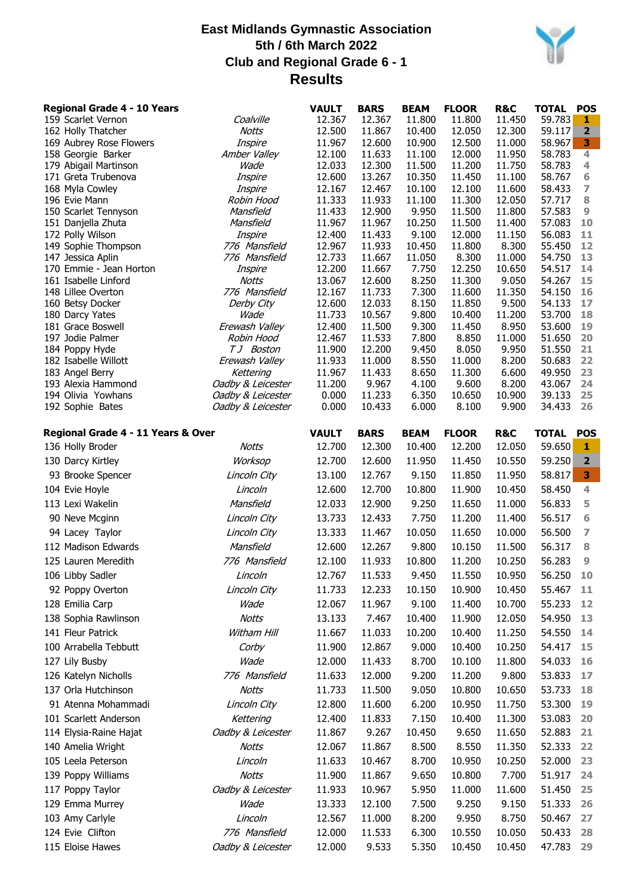

| <b>Regional Grade 4 - 10 Years</b><br>159 Scarlet Vernon | Coalville                    | <b>VAULT</b><br>12.367 | <b>BARS</b><br>12.367 | <b>BEAM</b><br>11.800 | <b>FLOOR</b><br>11.800 | R&C<br>11.450    | <b>TOTAL</b><br>59.783 | <b>POS</b><br>1.        |
|----------------------------------------------------------|------------------------------|------------------------|-----------------------|-----------------------|------------------------|------------------|------------------------|-------------------------|
| 162 Holly Thatcher                                       | Notts                        | 12.500                 | 11.867                | 10.400                | 12.050                 | 12.300           | 59.117                 | $\overline{\mathbf{2}}$ |
| 169 Aubrey Rose Flowers                                  | Inspire                      | 11.967                 | 12.600                | 10.900                | 12.500                 | 11.000           | 58.967                 | 3                       |
| 158 Georgie Barker                                       | Amber Valley                 | 12.100                 | 11.633                | 11.100                | 12.000                 | 11.950           | 58.783                 | 4                       |
| 179 Abigail Martinson                                    | Wade                         | 12.033                 | 12.300                | 11.500                | 11.200                 | 11.750           | 58.783                 | 4                       |
| 171 Greta Trubenova                                      | Inspire                      | 12.600                 | 13.267                | 10.350                | 11.450                 | 11.100           | 58.767                 | 6                       |
| 168 Myla Cowley                                          | Inspire                      | 12.167                 | 12.467                | 10.100                | 12.100                 | 11.600           | 58.433                 | 7                       |
| 196 Evie Mann                                            | Robin Hood                   | 11.333                 | 11.933                | 11.100                | 11.300                 | 12.050           | 57.717                 | 8                       |
| 150 Scarlet Tennyson<br>151 Danjella Zhuta               | Mansfield<br>Mansfield       | 11.433<br>11.967       | 12.900<br>11.967      | 9.950<br>10.250       | 11.500<br>11.500       | 11.800<br>11.400 | 57.583<br>57.083       | 9<br>10                 |
| 172 Polly Wilson                                         | Inspire                      | 12.400                 | 11.433                | 9.100                 | 12.000                 | 11.150           | 56.083                 | 11                      |
| 149 Sophie Thompson                                      | 776 Mansfield                | 12.967                 | 11.933                | 10.450                | 11.800                 | 8.300            | 55.450                 | 12                      |
| 147 Jessica Aplin                                        | 776 Mansfield                | 12.733                 | 11.667                | 11.050                | 8.300                  | 11.000           | 54.750                 | 13                      |
| 170 Emmie - Jean Horton                                  | Inspire                      | 12.200                 | 11.667                | 7.750                 | 12.250                 | 10.650           | 54.517                 | 14                      |
| 161 Isabelle Linford                                     | Notts                        | 13.067                 | 12.600                | 8.250                 | 11.300                 | 9.050            | 54.267                 | 15                      |
| 148 Lillee Overton                                       | 776 Mansfield                | 12.167                 | 11.733                | 7.300                 | 11.600                 | 11.350           | 54.150                 | 16                      |
| 160 Betsy Docker                                         | Derby City                   | 12.600                 | 12.033                | 8.150                 | 11.850                 | 9.500            | 54.133                 | 17                      |
| 180 Darcy Yates                                          | Wade                         | 11.733                 | 10.567                | 9.800                 | 10.400                 | 11.200           | 53.700                 | 18                      |
| 181 Grace Boswell<br>197 Jodie Palmer                    | Erewash Valley<br>Robin Hood | 12.400<br>12.467       | 11.500<br>11.533      | 9.300<br>7.800        | 11.450<br>8.850        | 8.950<br>11.000  | 53.600<br>51.650       | 19<br>20                |
| 184 Poppy Hyde                                           | TJ Boston                    | 11.900                 | 12.200                | 9.450                 | 8.050                  | 9.950            | 51.550                 | 21                      |
| 182 Isabelle Willott                                     | Erewash Valley               | 11.933                 | 11.000                | 8.550                 | 11.000                 | 8.200            | 50.683                 | 22                      |
| 183 Angel Berry                                          | Kettering                    | 11.967                 | 11.433                | 8.650                 | 11.300                 | 6.600            | 49.950                 | 23                      |
| 193 Alexia Hammond                                       | Oadby & Leicester            | 11.200                 | 9.967                 | 4.100                 | 9.600                  | 8.200            | 43.067                 | 24                      |
| 194 Olivia Yowhans                                       | Oadby & Leicester            | 0.000                  | 11.233                | 6.350                 | 10.650                 | 10.900           | 39.133                 | 25                      |
| 192 Sophie Bates                                         | Oadby & Leicester            | 0.000                  | 10.433                | 6.000                 | 8.100                  | 9.900            | 34.433                 | 26                      |
| Regional Grade 4 - 11 Years & Over                       |                              | <b>VAULT</b>           | <b>BARS</b>           | <b>BEAM</b>           | <b>FLOOR</b>           | R&C              | <b>TOTAL</b>           | <b>POS</b>              |
| 136 Holly Broder                                         | Notts                        | 12.700                 | 12.300                | 10.400                | 12.200                 | 12.050           | 59.650                 | 1                       |
| 130 Darcy Kirtley                                        | Worksop                      | 12.700                 | 12.600                | 11.950                | 11.450                 | 10.550           | 59.250                 | $\overline{\mathbf{2}}$ |
| 93 Brooke Spencer                                        | Lincoln City                 | 13.100                 | 12.767                | 9.150                 | 11.850                 | 11.950           | 58.817                 | 3                       |
| 104 Evie Hoyle                                           | Lincoln                      | 12.600                 | 12.700                | 10.800                | 11.900                 | 10.450           | 58.450                 | 4                       |
| 113 Lexi Wakelin                                         | Mansfield                    | 12.033                 | 12.900                | 9.250                 | 11.650                 | 11.000           | 56.833                 | 5                       |
|                                                          |                              | 13.733                 | 12.433                | 7.750                 | 11.200                 |                  | 56.517                 | 6                       |
| 90 Neve Mcginn                                           | Lincoln City                 |                        |                       |                       |                        | 11.400           |                        |                         |
| 94 Lacey Taylor                                          | Lincoln City                 | 13.333                 | 11.467                | 10.050                | 11.650                 | 10.000           | 56.500                 | 7                       |
| 112 Madison Edwards                                      | Mansfield                    | 12.600                 | 12.267                | 9.800                 | 10.150                 | 11.500           | 56.317                 | 8                       |
| 125 Lauren Meredith                                      | 776 Mansfield                | 12.100                 | 11.933                | 10.800                | 11.200                 | 10.250           | 56.283                 | 9                       |
| 106 Libby Sadler                                         | Lincoln                      | 12.767                 | 11.533                | 9.450                 | 11.550                 | 10.950           | 56.250                 | 10                      |
| 92 Poppy Overton                                         | Lincoln City                 | 11.733                 | 12.233                | 10.150                | 10.900                 | 10.450           | 55.467                 | 11                      |
| 128 Emilia Carp                                          | Wade                         | 12.067                 | 11.967                | 9.100                 | 11.400                 | 10.700           | 55.233                 | $12$                    |
| 138 Sophia Rawlinson                                     | <b>Notts</b>                 | 13.133                 | 7.467                 | 10.400                | 11.900                 | 12.050           | 54.950                 | 13                      |
| 141 Fleur Patrick                                        | Witham Hill                  | 11.667                 | 11.033                | 10.200                | 10.400                 | 11.250           | 54.550                 | 14                      |
| 100 Arrabella Tebbutt                                    | Corby                        | 11.900                 | 12.867                | 9.000                 | 10.400                 | 10.250           | 54.417                 | 15                      |
| 127 Lily Busby                                           | Wade                         | 12.000                 | 11.433                | 8.700                 | 10.100                 | 11.800           | 54.033                 | 16                      |
|                                                          |                              |                        |                       |                       |                        |                  |                        |                         |
| 126 Katelyn Nicholls                                     | 776 Mansfield                | 11.633                 | 12.000                | 9.200                 | 11.200                 | 9.800            | 53.833                 | 17                      |
| 137 Orla Hutchinson                                      | <b>Notts</b>                 | 11.733                 | 11.500                | 9.050                 | 10.800                 | 10.650           | 53.733                 | 18                      |
| 91 Atenna Mohammadi                                      | Lincoln City                 | 12.800                 | 11.600                | 6.200                 | 10.950                 | 11.750           | 53.300                 | 19                      |
| 101 Scarlett Anderson                                    | Kettering                    | 12.400                 | 11.833                | 7.150                 | 10.400                 | 11.300           | 53.083                 | 20                      |
| 114 Elysia-Raine Hajat                                   | Oadby & Leicester            | 11.867                 | 9.267                 | 10.450                | 9.650                  | 11.650           | 52.883                 | 21                      |
| 140 Amelia Wright                                        | Notts                        | 12.067                 | 11.867                | 8.500                 | 8.550                  | 11.350           | 52.333                 | 22                      |
| 105 Leela Peterson                                       | Lincoln                      | 11.633                 | 10.467                | 8.700                 | 10.950                 | 10.250           | 52.000                 | 23                      |
| 139 Poppy Williams                                       | <b>Notts</b>                 | 11.900                 | 11.867                | 9.650                 | 10.800                 | 7.700            | 51.917                 | 24                      |
| 117 Poppy Taylor                                         | Oadby & Leicester            | 11.933                 | 10.967                | 5.950                 | 11.000                 | 11.600           | 51.450                 | 25                      |
|                                                          | Wade                         | 13.333                 | 12.100                | 7.500                 | 9.250                  | 9.150            | 51.333                 | 26                      |
| 129 Emma Murrey                                          |                              |                        |                       |                       |                        |                  |                        |                         |
| 103 Amy Carlyle                                          | Lincoln                      | 12.567                 | 11.000                | 8.200                 | 9.950                  | 8.750            | 50.467                 | 27                      |
| 124 Evie Clifton                                         | 776 Mansfield                | 12.000                 | 11.533                | 6.300                 | 10.550                 | 10.050           | 50.433                 | 28                      |
| 115 Eloise Hawes                                         | Oadby & Leicester            | 12.000                 | 9.533                 | 5.350                 | 10.450                 | 10.450           | 47.783                 | 29                      |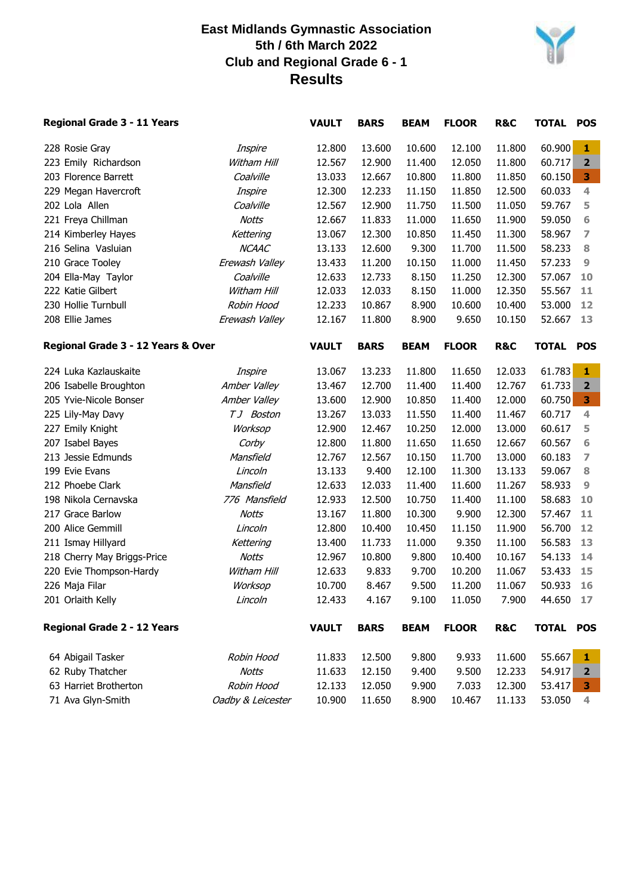

| Regional Grade 3 - 11 Years        |                   | <b>VAULT</b> | <b>BARS</b> | <b>BEAM</b> | <b>FLOOR</b> | R&C            | <b>TOTAL</b> | <b>POS</b>              |
|------------------------------------|-------------------|--------------|-------------|-------------|--------------|----------------|--------------|-------------------------|
| 228 Rosie Gray                     | Inspire           | 12.800       | 13.600      | 10.600      | 12.100       | 11.800         | 60.900       | $\mathbf{1}$            |
| 223 Emily Richardson               | Witham Hill       | 12.567       | 12.900      | 11.400      | 12.050       | 11.800         | 60.717       | $\overline{2}$          |
| 203 Florence Barrett               | Coalville         | 13.033       | 12.667      | 10.800      | 11.800       | 11.850         | 60.150       | 3 <sub>1</sub>          |
| 229 Megan Havercroft               | Inspire           | 12.300       | 12.233      | 11.150      | 11.850       | 12.500         | 60.033       | $\overline{4}$          |
| 202 Lola Allen                     | Coalville         | 12.567       | 12.900      | 11.750      | 11.500       | 11.050         | 59.767       | 5                       |
| 221 Freya Chillman                 | Notts             | 12.667       | 11.833      | 11.000      | 11.650       | 11.900         | 59.050       | 6                       |
| 214 Kimberley Hayes                | Kettering         | 13.067       | 12.300      | 10.850      | 11.450       | 11.300         | 58.967       | $\overline{ }$          |
| 216 Selina Vasluian                | <b>NCAAC</b>      | 13.133       | 12.600      | 9.300       | 11.700       | 11.500         | 58.233       | $\bf8$                  |
| 210 Grace Tooley                   | Erewash Valley    | 13.433       | 11.200      | 10.150      | 11.000       | 11.450         | 57.233       | 9                       |
| 204 Ella-May Taylor                | Coalville         | 12.633       | 12.733      | 8.150       | 11.250       | 12.300         | 57.067       | 10                      |
| 222 Katie Gilbert                  | Witham Hill       | 12.033       | 12.033      | 8.150       | 11.000       | 12.350         | 55.567       | 11                      |
| 230 Hollie Turnbull                | Robin Hood        | 12.233       | 10.867      | 8.900       | 10.600       | 10.400         | 53.000       | 12                      |
| 208 Ellie James                    | Erewash Valley    | 12.167       | 11.800      | 8.900       | 9.650        | 10.150         | 52.667       | 13                      |
| Regional Grade 3 - 12 Years & Over |                   | <b>VAULT</b> | <b>BARS</b> | <b>BEAM</b> | <b>FLOOR</b> | R&C            | <b>TOTAL</b> | <b>POS</b>              |
| 224 Luka Kazlauskaite              | Inspire           | 13.067       | 13.233      | 11.800      | 11.650       | 12.033         | 61.783       | 1                       |
| 206 Isabelle Broughton             | Amber Valley      | 13.467       | 12.700      | 11.400      | 11.400       | 12.767         | 61.733       | $\overline{\mathbf{2}}$ |
| 205 Yvie-Nicole Bonser             | Amber Valley      | 13.600       | 12.900      | 10.850      | 11.400       | 12.000         | 60.750       | 3 <sup>1</sup>          |
| 225 Lily-May Davy                  | TJ Boston         | 13.267       | 13.033      | 11.550      | 11.400       | 11.467         | 60.717       | 4                       |
| 227 Emily Knight                   | Worksop           | 12.900       | 12.467      | 10.250      | 12.000       | 13.000         | 60.617       | 5                       |
| 207 Isabel Bayes                   | Corby             | 12.800       | 11.800      | 11.650      | 11.650       | 12.667         | 60.567       | 6                       |
| 213 Jessie Edmunds                 | Mansfield         | 12.767       | 12.567      | 10.150      | 11.700       | 13.000         | 60.183       | 7                       |
| 199 Evie Evans                     | Lincoln           | 13.133       | 9.400       | 12.100      | 11.300       | 13.133         | 59.067       | 8                       |
| 212 Phoebe Clark                   | Mansfield         | 12.633       | 12.033      | 11.400      | 11.600       | 11.267         | 58.933       | 9                       |
| 198 Nikola Cernavska               | 776 Mansfield     | 12.933       | 12.500      | 10.750      | 11.400       | 11.100         | 58.683       | 10                      |
| 217 Grace Barlow                   | Notts             | 13.167       | 11.800      | 10.300      | 9.900        | 12.300         | 57.467       | 11                      |
| 200 Alice Gemmill                  | Lincoln           | 12.800       | 10.400      | 10.450      | 11.150       | 11.900         | 56.700       | 12                      |
| 211 Ismay Hillyard                 | Kettering         | 13.400       | 11.733      | 11.000      | 9.350        | 11.100         | 56.583       | 13                      |
| 218 Cherry May Briggs-Price        | <b>Notts</b>      | 12.967       | 10.800      | 9.800       | 10.400       | 10.167         | 54.133       | 14                      |
| 220 Evie Thompson-Hardy            | Witham Hill       | 12.633       | 9.833       | 9.700       | 10.200       | 11.067         | 53.433       | 15                      |
| 226 Maja Filar                     | Worksop           | 10.700       | 8.467       | 9.500       | 11.200       | 11.067         | 50.933       | 16                      |
| 201 Orlaith Kelly                  | Lincoln           | 12.433       | 4.167       | 9.100       | 11.050       | 7.900          | 44.650       | 17                      |
| Regional Grade 2 - 12 Years        |                   | <b>VAULT</b> | <b>BARS</b> | <b>BEAM</b> | <b>FLOOR</b> | <b>R&amp;C</b> | <b>TOTAL</b> | <b>POS</b>              |
| 64 Abigail Tasker                  | Robin Hood        | 11.833       | 12.500      | 9.800       | 9.933        | 11.600         | 55.667       | 1                       |
| 62 Ruby Thatcher                   | <b>Notts</b>      | 11.633       | 12.150      | 9.400       | 9.500        | 12.233         | 54.917       | $\overline{2}$          |
| 63 Harriet Brotherton              | Robin Hood        | 12.133       | 12.050      | 9.900       | 7.033        | 12.300         | 53.417       | 3                       |
| 71 Ava Glyn-Smith                  | Oadby & Leicester | 10.900       | 11.650      | 8.900       | 10.467       | 11.133         | 53.050       | 4                       |